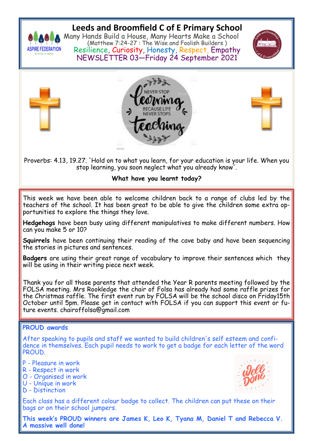

## **Leeds and Broomfield C of E Primary School**

Many Hands Build a House, Many Hearts Make a School (Matthew 7:24-27 : The Wise and Foolish Builders ) Resilience, Curiosity, Honesty, Respect, Empathy NEWSLETTER 03—Friday 24 September 2021









Proverbs: 4.13, 19.27. 'Hold on to what you learn, for your education is your life. When you stop learning, you soon neglect what you already know'.

## **What have you learnt today?**

This week we have been able to welcome children back to a range of clubs led by the teachers of the school. It has been great to be able to give the children some extra opportunities to explore the things they love.

**Hedgehogs** have been busy using different manipulatives to make different numbers. How can you make 5 or 10?

**Squirrels** have been continuing their reading of the cave baby and have been sequencing the stories in pictures and sentences.

**Badgers** are using their great range of vocabulary to improve their sentences which they will be using in their writing piece next week.

Thank you for all those parents that attended the Year R parents meeting followed by the FOLSA meeting. Mrs Rookledge the chair of Folsa has already had some raffle prizes for the Christmas raffle. The first event run by FOLSA will be the school disco on Friday15th October until 5pm. Please get in contact with FOLSA if you can support this event or future events. chairoffolsa@gmail.com

## **PROUD awards**

After speaking to pupils and staff we wanted to build children's self esteem and confidence in themselves. Each pupil needs to work to get a badge for each letter of the word PROUD.

- P Pleasure in work
- R Respect in work
- O Organised in work
- U Unique in work
- D Distinction

Each class has a different colour badge to collect. The children can put these on their bags or on their school jumpers.

**This week's PROUD winners are James K, Leo K, Tyana M, Daniel T and Rebecca V. A massive well done!**

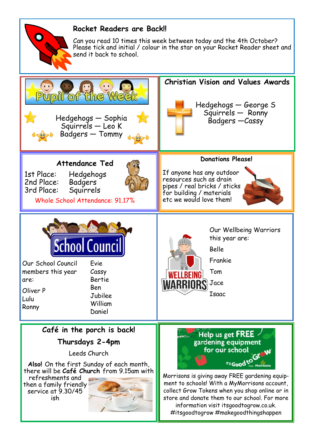